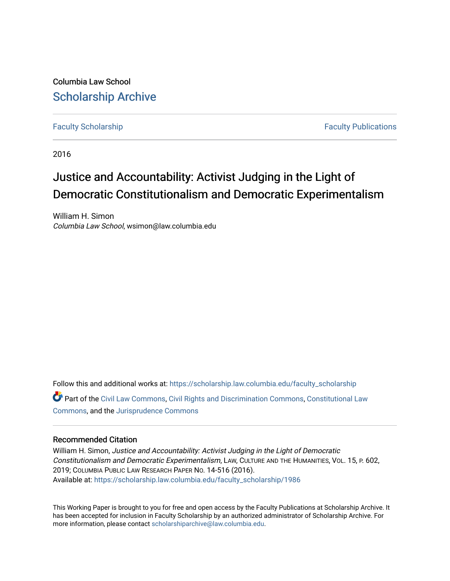Columbia Law School [Scholarship Archive](https://scholarship.law.columbia.edu/) 

[Faculty Scholarship](https://scholarship.law.columbia.edu/faculty_scholarship) **Faculty Scholarship Faculty Publications** 

2016

# Justice and Accountability: Activist Judging in the Light of Democratic Constitutionalism and Democratic Experimentalism

William H. Simon Columbia Law School, wsimon@law.columbia.edu

Follow this and additional works at: [https://scholarship.law.columbia.edu/faculty\\_scholarship](https://scholarship.law.columbia.edu/faculty_scholarship?utm_source=scholarship.law.columbia.edu%2Ffaculty_scholarship%2F1986&utm_medium=PDF&utm_campaign=PDFCoverPages) Part of the [Civil Law Commons](http://network.bepress.com/hgg/discipline/835?utm_source=scholarship.law.columbia.edu%2Ffaculty_scholarship%2F1986&utm_medium=PDF&utm_campaign=PDFCoverPages), [Civil Rights and Discrimination Commons](http://network.bepress.com/hgg/discipline/585?utm_source=scholarship.law.columbia.edu%2Ffaculty_scholarship%2F1986&utm_medium=PDF&utm_campaign=PDFCoverPages), [Constitutional Law](http://network.bepress.com/hgg/discipline/589?utm_source=scholarship.law.columbia.edu%2Ffaculty_scholarship%2F1986&utm_medium=PDF&utm_campaign=PDFCoverPages)  [Commons](http://network.bepress.com/hgg/discipline/589?utm_source=scholarship.law.columbia.edu%2Ffaculty_scholarship%2F1986&utm_medium=PDF&utm_campaign=PDFCoverPages), and the [Jurisprudence Commons](http://network.bepress.com/hgg/discipline/610?utm_source=scholarship.law.columbia.edu%2Ffaculty_scholarship%2F1986&utm_medium=PDF&utm_campaign=PDFCoverPages)

#### Recommended Citation

William H. Simon, Justice and Accountability: Activist Judging in the Light of Democratic Constitutionalism and Democratic Experimentalism, LAW, CULTURE AND THE HUMANITIES, VOL. 15, P. 602, 2019; COLUMBIA PUBLIC LAW RESEARCH PAPER NO. 14-516 (2016). Available at: [https://scholarship.law.columbia.edu/faculty\\_scholarship/1986](https://scholarship.law.columbia.edu/faculty_scholarship/1986?utm_source=scholarship.law.columbia.edu%2Ffaculty_scholarship%2F1986&utm_medium=PDF&utm_campaign=PDFCoverPages)

This Working Paper is brought to you for free and open access by the Faculty Publications at Scholarship Archive. It has been accepted for inclusion in Faculty Scholarship by an authorized administrator of Scholarship Archive. For more information, please contact [scholarshiparchive@law.columbia.edu.](mailto:scholarshiparchive@law.columbia.edu)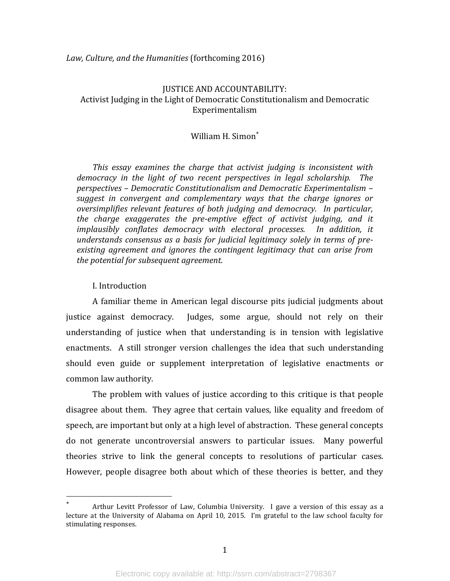*Law, Culture, and the Humanities* (forthcoming 2016)

## JUSTICE AND ACCOUNTABILITY: Activist Judging in the Light of Democratic Constitutionalism and Democratic Experimentalism

### William H. Simon

*This essay examines the charge that activist judging is inconsistent with democracy in the light of two recent perspectives in legal scholarship. The perspectives – Democratic Constitutionalism and Democratic Experimentalism – suggest in convergent and complementary ways that the charge ignores or oversimplifies relevant features of both judging and democracy. In particular, the charge exaggerates the pre-emptive effect of activist judging, and it implausibly conflates democracy with electoral processes. In addition, it understands consensus as a basis for judicial legitimacy solely in terms of preexisting agreement and ignores the contingent legitimacy that can arise from the potential for subsequent agreement.*

#### I. Introduction

 $\overline{a}$ 

A familiar theme in American legal discourse pits judicial judgments about justice against democracy. Judges, some argue, should not rely on their understanding of justice when that understanding is in tension with legislative enactments. A still stronger version challenges the idea that such understanding should even guide or supplement interpretation of legislative enactments or common law authority.

The problem with values of justice according to this critique is that people disagree about them. They agree that certain values, like equality and freedom of speech, are important but only at a high level of abstraction. These general concepts do not generate uncontroversial answers to particular issues. Many powerful theories strive to link the general concepts to resolutions of particular cases. However, people disagree both about which of these theories is better, and they

<sup>\*</sup> Arthur Levitt Professor of Law, Columbia University. I gave a version of this essay as a lecture at the University of Alabama on April 10, 2015. I'm grateful to the law school faculty for stimulating responses.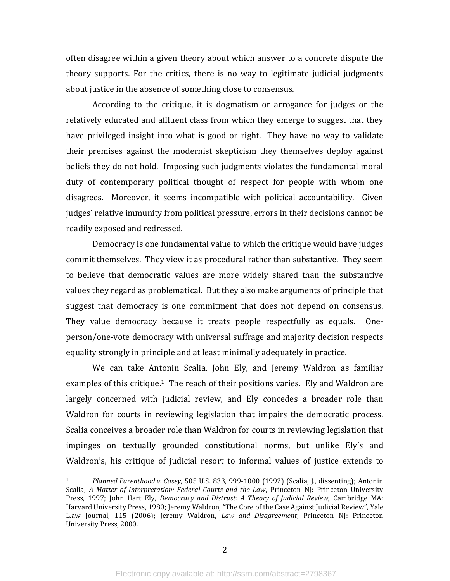often disagree within a given theory about which answer to a concrete dispute the theory supports. For the critics, there is no way to legitimate judicial judgments about justice in the absence of something close to consensus.

According to the critique, it is dogmatism or arrogance for judges or the relatively educated and affluent class from which they emerge to suggest that they have privileged insight into what is good or right. They have no way to validate their premises against the modernist skepticism they themselves deploy against beliefs they do not hold. Imposing such judgments violates the fundamental moral duty of contemporary political thought of respect for people with whom one disagrees. Moreover, it seems incompatible with political accountability. Given judges' relative immunity from political pressure, errors in their decisions cannot be readily exposed and redressed.

Democracy is one fundamental value to which the critique would have judges commit themselves. They view it as procedural rather than substantive. They seem to believe that democratic values are more widely shared than the substantive values they regard as problematical. But they also make arguments of principle that suggest that democracy is one commitment that does not depend on consensus. They value democracy because it treats people respectfully as equals. Oneperson/one-vote democracy with universal suffrage and majority decision respects equality strongly in principle and at least minimally adequately in practice.

We can take Antonin Scalia, John Ely, and Jeremy Waldron as familiar examples of this critique.<sup>1</sup> The reach of their positions varies. Ely and Waldron are largely concerned with judicial review, and Ely concedes a broader role than Waldron for courts in reviewing legislation that impairs the democratic process. Scalia conceives a broader role than Waldron for courts in reviewing legislation that impinges on textually grounded constitutional norms, but unlike Ely's and Waldron's, his critique of judicial resort to informal values of justice extends to

l

<sup>1</sup> *Planned Parenthood v. Casey*, 505 U.S. 833, 999-1000 (1992) (Scalia, J., dissenting); Antonin Scalia, *A Matter of Interpretation: Federal Courts and the Law*, Princeton NJ: Princeton University Press, 1997; John Hart Ely, *Democracy and Distrust: A Theory of Judicial Review,* Cambridge MA: Harvard University Press, 1980; Jeremy Waldron, "The Core of the Case Against Judicial Review"*,* Yale L.aw Journal, 115 (2006); Jeremy Waldron, *Law and Disagreement*, Princeton NJ: Princeton University Press, 2000.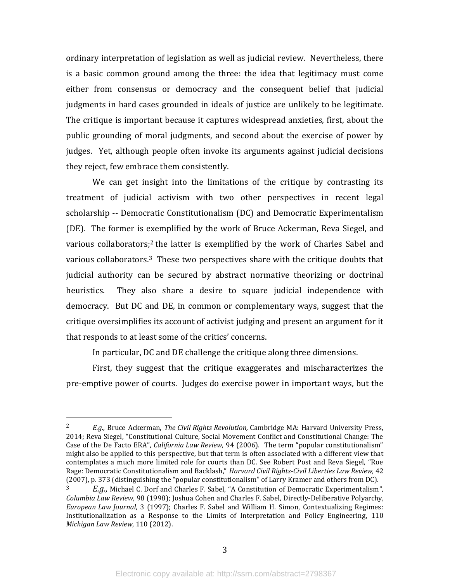ordinary interpretation of legislation as well as judicial review. Nevertheless, there is a basic common ground among the three: the idea that legitimacy must come either from consensus or democracy and the consequent belief that judicial judgments in hard cases grounded in ideals of justice are unlikely to be legitimate. The critique is important because it captures widespread anxieties, first, about the public grounding of moral judgments, and second about the exercise of power by judges. Yet, although people often invoke its arguments against judicial decisions they reject, few embrace them consistently.

We can get insight into the limitations of the critique by contrasting its treatment of judicial activism with two other perspectives in recent legal scholarship -- Democratic Constitutionalism (DC) and Democratic Experimentalism (DE). The former is exemplified by the work of Bruce Ackerman, Reva Siegel, and various collaborators; <sup>2</sup> the latter is exemplified by the work of Charles Sabel and various collaborators.3 These two perspectives share with the critique doubts that judicial authority can be secured by abstract normative theorizing or doctrinal heuristics. They also share a desire to square judicial independence with democracy. But DC and DE, in common or complementary ways, suggest that the critique oversimplifies its account of activist judging and present an argument for it that responds to at least some of the critics' concerns.

In particular, DC and DE challenge the critique along three dimensions.

First, they suggest that the critique exaggerates and mischaracterizes the pre-emptive power of courts. Judges do exercise power in important ways, but the

<sup>2</sup> *E.g*., Bruce Ackerman, *The Civil Rights Revolution,* Cambridge MA: Harvard University Press, 2014; Reva Siegel, "Constitutional Culture, Social Movement Conflict and Constitutional Change: The Case of the De Facto ERA", *California Law Review*, 94 (2006). The term "popular constitutionalism" might also be applied to this perspective, but that term is often associated with a different view that contemplates a much more limited role for courts than DC. See Robert Post and Reva Siegel, "Roe Rage: Democratic Constitutionalism and Backlash," *Harvard Civil Rights-Civil Liberties Law Review*, 42 (2007), p. 373 (distinguishing the "popular constitutionalism" of Larry Kramer and others from DC).

<sup>3</sup> *E.g*., Michael C. Dorf and Charles F. Sabel, "A Constitution of Democratic Experimentalism"*, Columbia Law Review*, 98 (1998); Joshua Cohen and Charles F. Sabel, Directly-Deliberative Polyarchy, *European Law Journal*, 3 (1997); Charles F. Sabel and William H. Simon, Contextualizing Regimes: Institutionalization as a Response to the Limits of Interpretation and Policy Engineering, 110 *Michigan Law Review*, 110 (2012).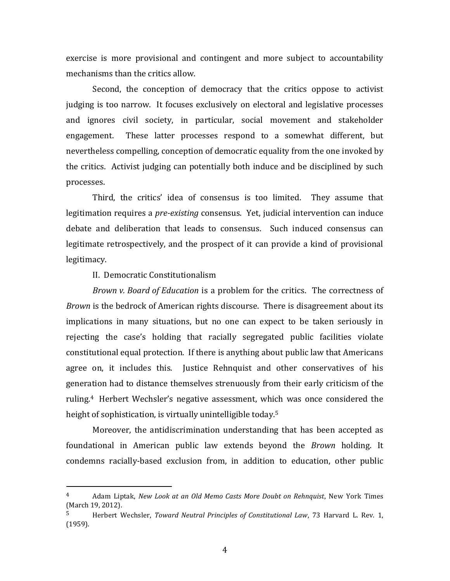exercise is more provisional and contingent and more subject to accountability mechanisms than the critics allow.

Second, the conception of democracy that the critics oppose to activist judging is too narrow. It focuses exclusively on electoral and legislative processes and ignores civil society, in particular, social movement and stakeholder engagement. These latter processes respond to a somewhat different, but nevertheless compelling, conception of democratic equality from the one invoked by the critics. Activist judging can potentially both induce and be disciplined by such processes.

Third, the critics' idea of consensus is too limited. They assume that legitimation requires a *pre-existing* consensus. Yet, judicial intervention can induce debate and deliberation that leads to consensus. Such induced consensus can legitimate retrospectively, and the prospect of it can provide a kind of provisional legitimacy.

#### II. Democratic Constitutionalism

 $\overline{a}$ 

*Brown v. Board of Education* is a problem for the critics. The correctness of *Brown* is the bedrock of American rights discourse. There is disagreement about its implications in many situations, but no one can expect to be taken seriously in rejecting the case's holding that racially segregated public facilities violate constitutional equal protection. If there is anything about public law that Americans agree on, it includes this. Justice Rehnquist and other conservatives of his generation had to distance themselves strenuously from their early criticism of the ruling.<sup>4</sup> Herbert Wechsler's negative assessment, which was once considered the height of sophistication, is virtually unintelligible today.<sup>5</sup>

Moreover, the antidiscrimination understanding that has been accepted as foundational in American public law extends beyond the *Brown* holding. It condemns racially-based exclusion from, in addition to education, other public

<sup>4</sup> Adam Liptak, *New Look at an Old Memo Casts More Doubt on Rehnquist*, New York Times (March 19, 2012).

<sup>5</sup> Herbert Wechsler, *Toward Neutral Principles of Constitutional Law*, 73 Harvard L. Rev. 1, (1959).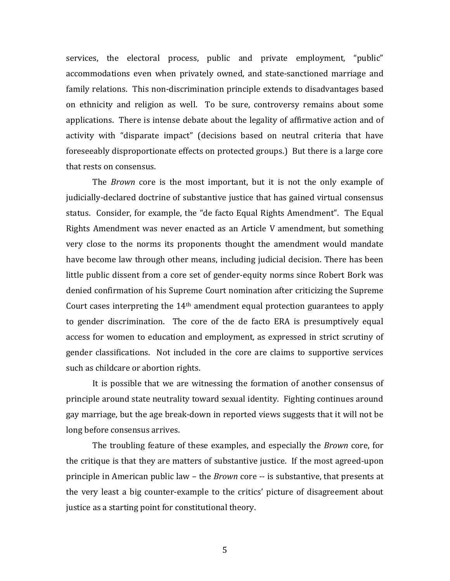services, the electoral process, public and private employment, "public" accommodations even when privately owned, and state-sanctioned marriage and family relations. This non-discrimination principle extends to disadvantages based on ethnicity and religion as well. To be sure, controversy remains about some applications. There is intense debate about the legality of affirmative action and of activity with "disparate impact" (decisions based on neutral criteria that have foreseeably disproportionate effects on protected groups.) But there is a large core that rests on consensus.

The *Brown* core is the most important, but it is not the only example of judicially-declared doctrine of substantive justice that has gained virtual consensus status. Consider, for example, the "de facto Equal Rights Amendment". The Equal Rights Amendment was never enacted as an Article V amendment, but something very close to the norms its proponents thought the amendment would mandate have become law through other means, including judicial decision. There has been little public dissent from a core set of gender-equity norms since Robert Bork was denied confirmation of his Supreme Court nomination after criticizing the Supreme Court cases interpreting the 14th amendment equal protection guarantees to apply to gender discrimination. The core of the de facto ERA is presumptively equal access for women to education and employment, as expressed in strict scrutiny of gender classifications. Not included in the core are claims to supportive services such as childcare or abortion rights.

It is possible that we are witnessing the formation of another consensus of principle around state neutrality toward sexual identity. Fighting continues around gay marriage, but the age break-down in reported views suggests that it will not be long before consensus arrives.

The troubling feature of these examples, and especially the *Brown* core, for the critique is that they are matters of substantive justice. If the most agreed-upon principle in American public law – the *Brown* core -- is substantive, that presents at the very least a big counter-example to the critics' picture of disagreement about justice as a starting point for constitutional theory.

5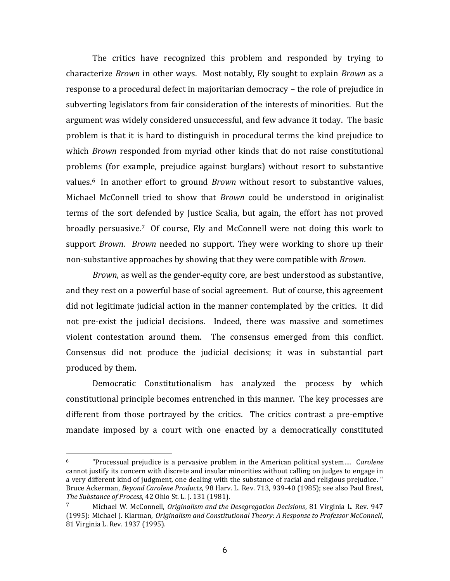The critics have recognized this problem and responded by trying to characterize *Brown* in other ways. Most notably, Ely sought to explain *Brown* as a response to a procedural defect in majoritarian democracy – the role of prejudice in subverting legislators from fair consideration of the interests of minorities. But the argument was widely considered unsuccessful, and few advance it today. The basic problem is that it is hard to distinguish in procedural terms the kind prejudice to which *Brown* responded from myriad other kinds that do not raise constitutional problems (for example, prejudice against burglars) without resort to substantive values.6 In another effort to ground *Brown* without resort to substantive values, Michael McConnell tried to show that *Brown* could be understood in originalist terms of the sort defended by Justice Scalia, but again, the effort has not proved broadly persuasive.7 Of course, Ely and McConnell were not doing this work to support *Brown*. *Brown* needed no support. They were working to shore up their non-substantive approaches by showing that they were compatible with *Brown*.

*Brown*, as well as the gender-equity core, are best understood as substantive, and they rest on a powerful base of social agreement. But of course, this agreement did not legitimate judicial action in the manner contemplated by the critics. It did not pre-exist the judicial decisions. Indeed, there was massive and sometimes violent contestation around them. The consensus emerged from this conflict. Consensus did not produce the judicial decisions; it was in substantial part produced by them.

Democratic Constitutionalism has analyzed the process by which constitutional principle becomes entrenched in this manner. The key processes are different from those portrayed by the critics. The critics contrast a pre-emptive mandate imposed by a court with one enacted by a democratically constituted

l

<sup>6</sup> "Processual prejudice is a pervasive problem in the American political system…. C*arolene* cannot justify its concern with discrete and insular minorities without calling on judges to engage in a very different kind of judgment, one dealing with the substance of racial and religious prejudice. " Bruce Ackerman, *Beyond Carolene Products*, 98 Harv. L. Rev. 713, 939-40 (1985); see also Paul Brest, *The Substance of Process*, 42 Ohio St. L. J. 131 (1981).

<sup>7</sup> Michael W. McConnell, *Originalism and the Desegregation Decisions*, 81 Virginia L. Rev. 947 (1995): Michael J. Klarman, *Originalism and Constitutional Theory: A Response to Professor McConnell*, 81 Virginia L. Rev. 1937 (1995).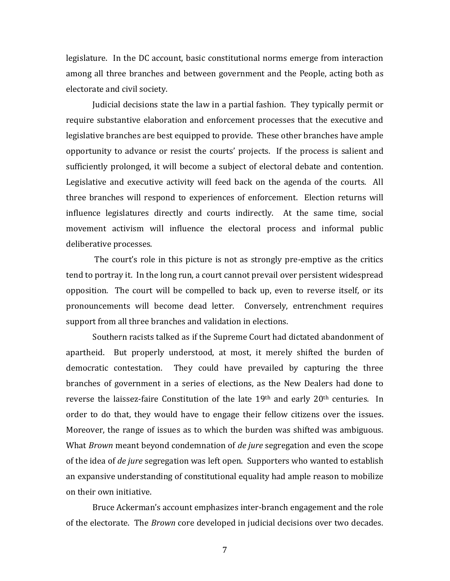legislature. In the DC account, basic constitutional norms emerge from interaction among all three branches and between government and the People, acting both as electorate and civil society.

Judicial decisions state the law in a partial fashion. They typically permit or require substantive elaboration and enforcement processes that the executive and legislative branches are best equipped to provide. These other branches have ample opportunity to advance or resist the courts' projects. If the process is salient and sufficiently prolonged, it will become a subject of electoral debate and contention. Legislative and executive activity will feed back on the agenda of the courts. All three branches will respond to experiences of enforcement. Election returns will influence legislatures directly and courts indirectly. At the same time, social movement activism will influence the electoral process and informal public deliberative processes.

The court's role in this picture is not as strongly pre-emptive as the critics tend to portray it. In the long run, a court cannot prevail over persistent widespread opposition. The court will be compelled to back up, even to reverse itself, or its pronouncements will become dead letter. Conversely, entrenchment requires support from all three branches and validation in elections.

Southern racists talked as if the Supreme Court had dictated abandonment of apartheid. But properly understood, at most, it merely shifted the burden of democratic contestation. They could have prevailed by capturing the three branches of government in a series of elections, as the New Dealers had done to reverse the laissez-faire Constitution of the late  $19<sup>th</sup>$  and early  $20<sup>th</sup>$  centuries. In order to do that, they would have to engage their fellow citizens over the issues. Moreover, the range of issues as to which the burden was shifted was ambiguous. What *Brown* meant beyond condemnation of *de jure* segregation and even the scope of the idea of *de jure* segregation was left open. Supporters who wanted to establish an expansive understanding of constitutional equality had ample reason to mobilize on their own initiative.

Bruce Ackerman's account emphasizes inter-branch engagement and the role of the electorate. The *Brown* core developed in judicial decisions over two decades.

7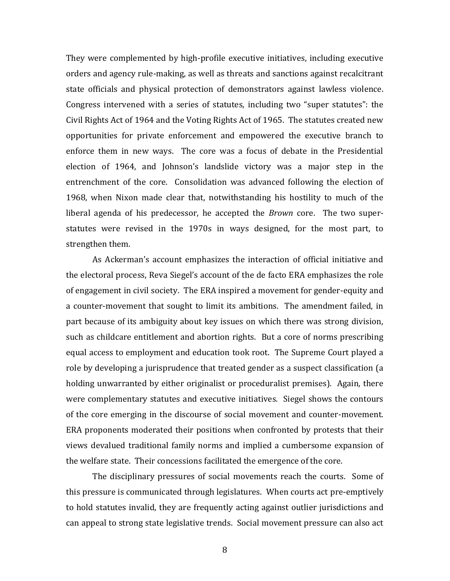They were complemented by high-profile executive initiatives, including executive orders and agency rule-making, as well as threats and sanctions against recalcitrant state officials and physical protection of demonstrators against lawless violence. Congress intervened with a series of statutes, including two "super statutes": the Civil Rights Act of 1964 and the Voting Rights Act of 1965. The statutes created new opportunities for private enforcement and empowered the executive branch to enforce them in new ways. The core was a focus of debate in the Presidential election of 1964, and Johnson's landslide victory was a major step in the entrenchment of the core. Consolidation was advanced following the election of 1968, when Nixon made clear that, notwithstanding his hostility to much of the liberal agenda of his predecessor, he accepted the *Brown* core. The two superstatutes were revised in the 1970s in ways designed, for the most part, to strengthen them.

As Ackerman's account emphasizes the interaction of official initiative and the electoral process, Reva Siegel's account of the de facto ERA emphasizes the role of engagement in civil society. The ERA inspired a movement for gender-equity and a counter-movement that sought to limit its ambitions. The amendment failed, in part because of its ambiguity about key issues on which there was strong division, such as childcare entitlement and abortion rights. But a core of norms prescribing equal access to employment and education took root. The Supreme Court played a role by developing a jurisprudence that treated gender as a suspect classification (a holding unwarranted by either originalist or proceduralist premises). Again, there were complementary statutes and executive initiatives. Siegel shows the contours of the core emerging in the discourse of social movement and counter-movement. ERA proponents moderated their positions when confronted by protests that their views devalued traditional family norms and implied a cumbersome expansion of the welfare state. Their concessions facilitated the emergence of the core.

The disciplinary pressures of social movements reach the courts. Some of this pressure is communicated through legislatures. When courts act pre-emptively to hold statutes invalid, they are frequently acting against outlier jurisdictions and can appeal to strong state legislative trends. Social movement pressure can also act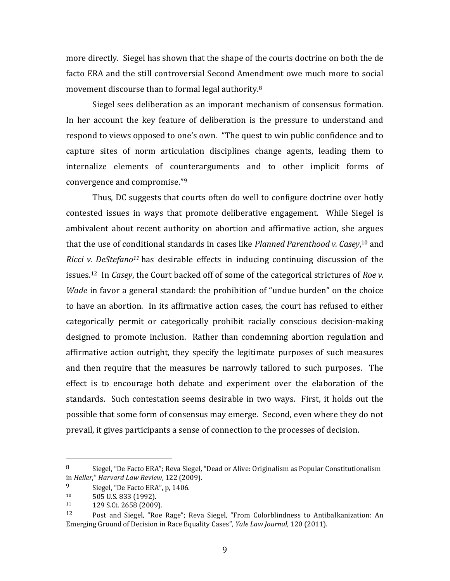more directly. Siegel has shown that the shape of the courts doctrine on both the de facto ERA and the still controversial Second Amendment owe much more to social movement discourse than to formal legal authority.<sup>8</sup>

Siegel sees deliberation as an imporant mechanism of consensus formation. In her account the key feature of deliberation is the pressure to understand and respond to views opposed to one's own. "The quest to win public confidence and to capture sites of norm articulation disciplines change agents, leading them to internalize elements of counterarguments and to other implicit forms of convergence and compromise."<sup>9</sup>

Thus, DC suggests that courts often do well to configure doctrine over hotly contested issues in ways that promote deliberative engagement. While Siegel is ambivalent about recent authority on abortion and affirmative action, she argues that the use of conditional standards in cases like *Planned Parenthood v. Casey*, <sup>10</sup> and *Ricci v. DeStefano<sup>11</sup>* has desirable effects in inducing continuing discussion of the issues. <sup>12</sup> In *Casey*, the Court backed off of some of the categorical strictures of *Roe v. Wade* in favor a general standard: the prohibition of "undue burden" on the choice to have an abortion. In its affirmative action cases, the court has refused to either categorically permit or categorically prohibit racially conscious decision-making designed to promote inclusion. Rather than condemning abortion regulation and affirmative action outright, they specify the legitimate purposes of such measures and then require that the measures be narrowly tailored to such purposes. The effect is to encourage both debate and experiment over the elaboration of the standards. Such contestation seems desirable in two ways. First, it holds out the possible that some form of consensus may emerge. Second, even where they do not prevail, it gives participants a sense of connection to the processes of decision.

 $8$  Siegel, "De Facto ERA"; Reva Siegel, "Dead or Alive: Originalism as Popular Constitutionalism in *Heller*," *Harvard Law Review*, 122 (2009).

<sup>9</sup> Siegel, "De Facto ERA", p, 1406.

 $10$  505 U.S. 833 (1992).<br>11 129 S Ct 2658 (2009)

<sup>11</sup> 129 S.Ct. 2658 (2009).

<sup>12</sup> Post and Siegel, "Roe Rage"; Reva Siegel, "From Colorblindness to Antibalkanization: An Emerging Ground of Decision in Race Equality Cases", *Yale Law Journal*, 120 (2011).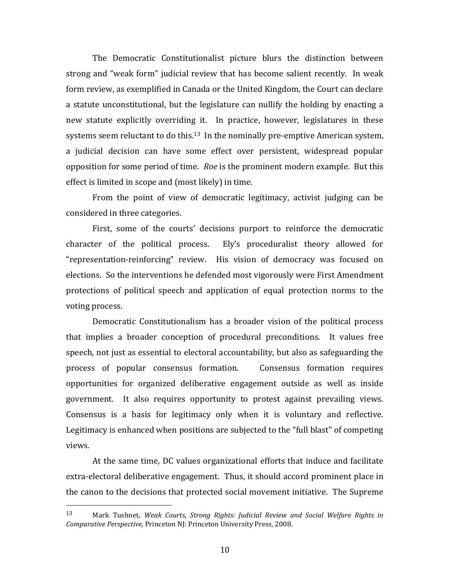The Democratic Constitutionalist picture blurs the distinction between strong and "weak form" judicial review that has become salient recently. In weak form review, as exemplified in Canada or the United Kingdom, the Court can declare a statute unconstitutional, but the legislature can nullify the holding by enacting a new statute explicitly overriding it. In practice, however, legislatures in these systems seem reluctant to do this.<sup>13</sup> In the nominally pre-emptive American system, a judicial decision can have some effect over persistent, widespread popular opposition for some period of time. *Roe* is the prominent modern example. But this effect is limited in scope and (most likely) in time.

From the point of view of democratic legitimacy, activist judging can be considered in three categories.

First, some of the courts' decisions purport to reinforce the democratic character of the political process. Ely's proceduralist theory allowed for "representation-reinforcing" review. His vision of democracy was focused on elections. So the interventions he defended most vigorously were First Amendment protections of political speech and application of equal protection norms to the voting process.

Democratic Constitutionalism has a broader vision of the political process that implies a broader conception of procedural preconditions. It values free speech, not just as essential to electoral accountability, but also as safeguarding the process of popular consensus formation. Consensus formation requires opportunities for organized deliberative engagement outside as well as inside government. It also requires opportunity to protest against prevailing views. Consensus is a basis for legitimacy only when it is voluntary and reflective. Legitimacy is enhanced when positions are subjected to the "full blast" of competing views.

At the same time, DC values organizational efforts that induce and facilitate extra-electoral deliberative engagement. Thus, it should accord prominent place in the canon to the decisions that protected social movement initiative. The Supreme

<sup>13</sup> Mark Tushnet, *Weak Courts, Strong Rights: Judicial Review and Social Welfare Rights in Comparative Perspective*, Princeton NJ: Princeton University Press, 2008.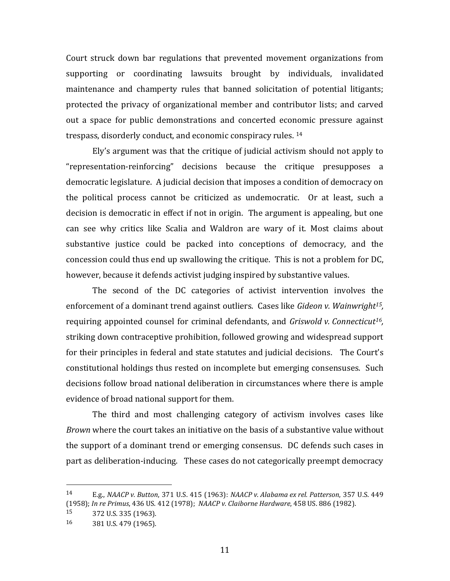Court struck down bar regulations that prevented movement organizations from supporting or coordinating lawsuits brought by individuals, invalidated maintenance and champerty rules that banned solicitation of potential litigants; protected the privacy of organizational member and contributor lists; and carved out a space for public demonstrations and concerted economic pressure against trespass, disorderly conduct, and economic conspiracy rules. <sup>14</sup>

Ely's argument was that the critique of judicial activism should not apply to "representation-reinforcing" decisions because the critique presupposes a democratic legislature. A judicial decision that imposes a condition of democracy on the political process cannot be criticized as undemocratic. Or at least, such a decision is democratic in effect if not in origin. The argument is appealing, but one can see why critics like Scalia and Waldron are wary of it. Most claims about substantive justice could be packed into conceptions of democracy, and the concession could thus end up swallowing the critique. This is not a problem for DC, however, because it defends activist judging inspired by substantive values.

 The second of the DC categories of activist intervention involves the enforcement of a dominant trend against outliers. Cases like *Gideon v. Wainwright15,*  requiring appointed counsel for criminal defendants, and *Griswold v. Connecticut16,* striking down contraceptive prohibition, followed growing and widespread support for their principles in federal and state statutes and judicial decisions. The Court's constitutional holdings thus rested on incomplete but emerging consensuses. Such decisions follow broad national deliberation in circumstances where there is ample evidence of broad national support for them.

The third and most challenging category of activism involves cases like *Brown* where the court takes an initiative on the basis of a substantive value without the support of a dominant trend or emerging consensus. DC defends such cases in part as deliberation-inducing. These cases do not categorically preempt democracy

<sup>14</sup> E.g., *NAACP v. Button*, 371 U.S. 415 (1963): *NAACP v. Alabama ex rel. Patterson*, 357 U.S. 449 (1958); *In re Primus*, 436 US. 412 (1978); *NAACP v. Claiborne Hardware*, 458 US. 886 (1982).

<sup>15</sup> 372 U.S. 335 (1963).

<sup>16</sup> 381 U.S. 479 (1965).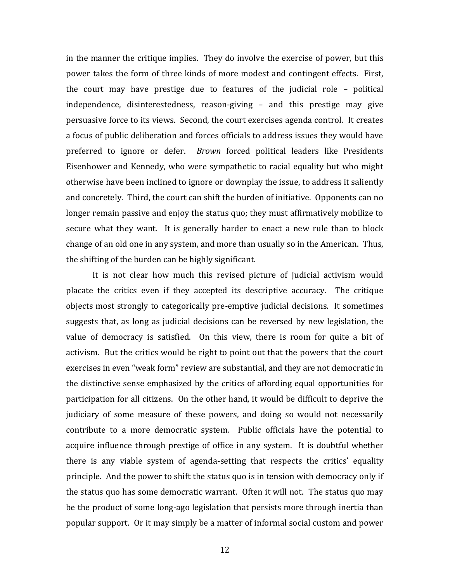in the manner the critique implies. They do involve the exercise of power, but this power takes the form of three kinds of more modest and contingent effects. First, the court may have prestige due to features of the judicial role – political independence, disinterestedness, reason-giving – and this prestige may give persuasive force to its views. Second, the court exercises agenda control. It creates a focus of public deliberation and forces officials to address issues they would have preferred to ignore or defer. *Brown* forced political leaders like Presidents Eisenhower and Kennedy, who were sympathetic to racial equality but who might otherwise have been inclined to ignore or downplay the issue, to address it saliently and concretely. Third, the court can shift the burden of initiative. Opponents can no longer remain passive and enjoy the status quo; they must affirmatively mobilize to secure what they want. It is generally harder to enact a new rule than to block change of an old one in any system, and more than usually so in the American. Thus, the shifting of the burden can be highly significant.

It is not clear how much this revised picture of judicial activism would placate the critics even if they accepted its descriptive accuracy. The critique objects most strongly to categorically pre-emptive judicial decisions. It sometimes suggests that, as long as judicial decisions can be reversed by new legislation, the value of democracy is satisfied. On this view, there is room for quite a bit of activism. But the critics would be right to point out that the powers that the court exercises in even "weak form" review are substantial, and they are not democratic in the distinctive sense emphasized by the critics of affording equal opportunities for participation for all citizens. On the other hand, it would be difficult to deprive the judiciary of some measure of these powers, and doing so would not necessarily contribute to a more democratic system. Public officials have the potential to acquire influence through prestige of office in any system. It is doubtful whether there is any viable system of agenda-setting that respects the critics' equality principle. And the power to shift the status quo is in tension with democracy only if the status quo has some democratic warrant. Often it will not. The status quo may be the product of some long-ago legislation that persists more through inertia than popular support. Or it may simply be a matter of informal social custom and power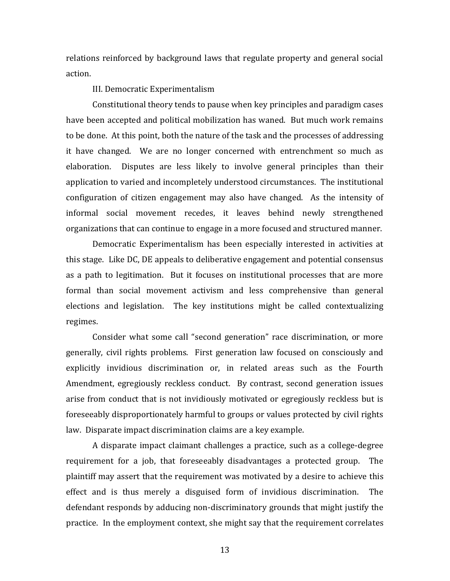relations reinforced by background laws that regulate property and general social action.

III. Democratic Experimentalism

Constitutional theory tends to pause when key principles and paradigm cases have been accepted and political mobilization has waned. But much work remains to be done. At this point, both the nature of the task and the processes of addressing it have changed. We are no longer concerned with entrenchment so much as elaboration. Disputes are less likely to involve general principles than their application to varied and incompletely understood circumstances. The institutional configuration of citizen engagement may also have changed. As the intensity of informal social movement recedes, it leaves behind newly strengthened organizations that can continue to engage in a more focused and structured manner.

Democratic Experimentalism has been especially interested in activities at this stage. Like DC, DE appeals to deliberative engagement and potential consensus as a path to legitimation. But it focuses on institutional processes that are more formal than social movement activism and less comprehensive than general elections and legislation. The key institutions might be called contextualizing regimes.

Consider what some call "second generation" race discrimination, or more generally, civil rights problems. First generation law focused on consciously and explicitly invidious discrimination or, in related areas such as the Fourth Amendment, egregiously reckless conduct. By contrast, second generation issues arise from conduct that is not invidiously motivated or egregiously reckless but is foreseeably disproportionately harmful to groups or values protected by civil rights law. Disparate impact discrimination claims are a key example.

A disparate impact claimant challenges a practice, such as a college-degree requirement for a job, that foreseeably disadvantages a protected group. The plaintiff may assert that the requirement was motivated by a desire to achieve this effect and is thus merely a disguised form of invidious discrimination. The defendant responds by adducing non-discriminatory grounds that might justify the practice. In the employment context, she might say that the requirement correlates

13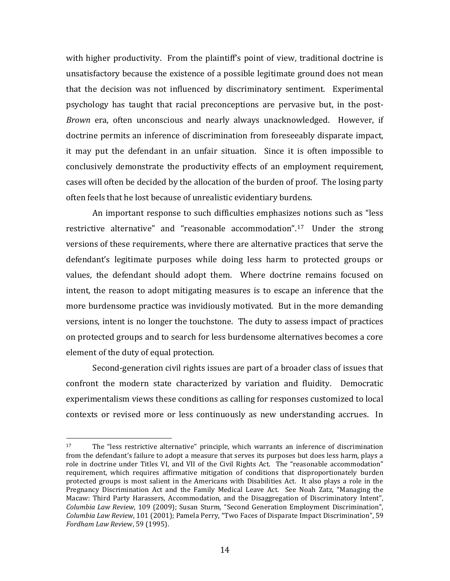with higher productivity. From the plaintiff's point of view, traditional doctrine is unsatisfactory because the existence of a possible legitimate ground does not mean that the decision was not influenced by discriminatory sentiment. Experimental psychology has taught that racial preconceptions are pervasive but, in the post-*Brown* era, often unconscious and nearly always unacknowledged. However, if doctrine permits an inference of discrimination from foreseeably disparate impact, it may put the defendant in an unfair situation. Since it is often impossible to conclusively demonstrate the productivity effects of an employment requirement, cases will often be decided by the allocation of the burden of proof. The losing party often feels that he lost because of unrealistic evidentiary burdens.

An important response to such difficulties emphasizes notions such as "less restrictive alternative" and "reasonable accommodation".17 Under the strong versions of these requirements, where there are alternative practices that serve the defendant's legitimate purposes while doing less harm to protected groups or values, the defendant should adopt them. Where doctrine remains focused on intent, the reason to adopt mitigating measures is to escape an inference that the more burdensome practice was invidiously motivated. But in the more demanding versions, intent is no longer the touchstone. The duty to assess impact of practices on protected groups and to search for less burdensome alternatives becomes a core element of the duty of equal protection.

Second-generation civil rights issues are part of a broader class of issues that confront the modern state characterized by variation and fluidity. Democratic experimentalism views these conditions as calling for responses customized to local contexts or revised more or less continuously as new understanding accrues. In

<sup>17</sup> The "less restrictive alternative" principle, which warrants an inference of discrimination from the defendant's failure to adopt a measure that serves its purposes but does less harm, plays a role in doctrine under Titles VI, and VII of the Civil Rights Act. The "reasonable accommodation" requirement, which requires affirmative mitigation of conditions that disproportionately burden protected groups is most salient in the Americans with Disabilities Act. It also plays a role in the Pregnancy Discrimination Act and the Family Medical Leave Act. See Noah Zatz, "Managing the Macaw: Third Party Harassers, Accommodation, and the Disaggregation of Discriminatory Intent", *Columbia Law Review*, 109 (2009); Susan Sturm, "Second Generation Employment Discrimination", *Columbia Law Review*, 101 (2001); Pamela Perry, "Two Faces of Disparate Impact Discrimination", 59 *Fordham Law Rev*iew, 59 (1995).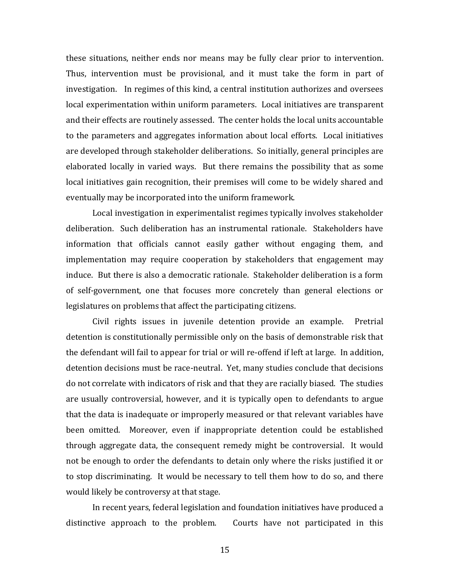these situations, neither ends nor means may be fully clear prior to intervention. Thus, intervention must be provisional, and it must take the form in part of investigation. In regimes of this kind, a central institution authorizes and oversees local experimentation within uniform parameters. Local initiatives are transparent and their effects are routinely assessed. The center holds the local units accountable to the parameters and aggregates information about local efforts. Local initiatives are developed through stakeholder deliberations. So initially, general principles are elaborated locally in varied ways. But there remains the possibility that as some local initiatives gain recognition, their premises will come to be widely shared and eventually may be incorporated into the uniform framework.

Local investigation in experimentalist regimes typically involves stakeholder deliberation. Such deliberation has an instrumental rationale. Stakeholders have information that officials cannot easily gather without engaging them, and implementation may require cooperation by stakeholders that engagement may induce. But there is also a democratic rationale. Stakeholder deliberation is a form of self-government, one that focuses more concretely than general elections or legislatures on problems that affect the participating citizens.

Civil rights issues in juvenile detention provide an example. Pretrial detention is constitutionally permissible only on the basis of demonstrable risk that the defendant will fail to appear for trial or will re-offend if left at large. In addition, detention decisions must be race-neutral. Yet, many studies conclude that decisions do not correlate with indicators of risk and that they are racially biased. The studies are usually controversial, however, and it is typically open to defendants to argue that the data is inadequate or improperly measured or that relevant variables have been omitted. Moreover, even if inappropriate detention could be established through aggregate data, the consequent remedy might be controversial. It would not be enough to order the defendants to detain only where the risks justified it or to stop discriminating. It would be necessary to tell them how to do so, and there would likely be controversy at that stage.

In recent years, federal legislation and foundation initiatives have produced a distinctive approach to the problem. Courts have not participated in this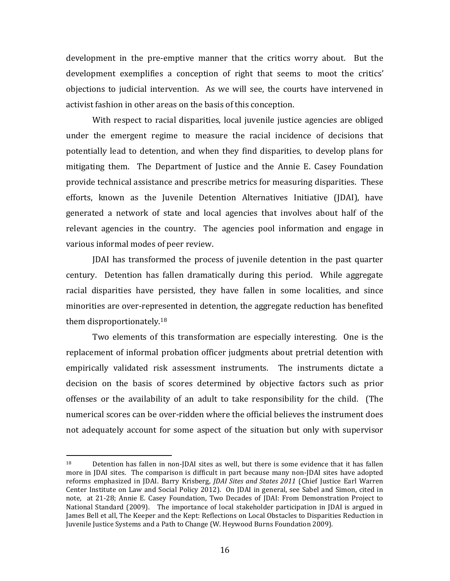development in the pre-emptive manner that the critics worry about. But the development exemplifies a conception of right that seems to moot the critics' objections to judicial intervention. As we will see, the courts have intervened in activist fashion in other areas on the basis of this conception.

With respect to racial disparities, local juvenile justice agencies are obliged under the emergent regime to measure the racial incidence of decisions that potentially lead to detention, and when they find disparities, to develop plans for mitigating them. The Department of Justice and the Annie E. Casey Foundation provide technical assistance and prescribe metrics for measuring disparities. These efforts, known as the Juvenile Detention Alternatives Initiative (JDAI), have generated a network of state and local agencies that involves about half of the relevant agencies in the country. The agencies pool information and engage in various informal modes of peer review.

JDAI has transformed the process of juvenile detention in the past quarter century. Detention has fallen dramatically during this period. While aggregate racial disparities have persisted, they have fallen in some localities, and since minorities are over-represented in detention, the aggregate reduction has benefited them disproportionately.<sup>18</sup>

Two elements of this transformation are especially interesting. One is the replacement of informal probation officer judgments about pretrial detention with empirically validated risk assessment instruments. The instruments dictate a decision on the basis of scores determined by objective factors such as prior offenses or the availability of an adult to take responsibility for the child. (The numerical scores can be over-ridden where the official believes the instrument does not adequately account for some aspect of the situation but only with supervisor

<sup>18</sup> Detention has fallen in non-JDAI sites as well, but there is some evidence that it has fallen more in JDAI sites. The comparison is difficult in part because many non-JDAI sites have adopted reforms emphasized in JDAI. Barry Krisberg, *JDAI Sites and States 2011* (Chief Justice Earl Warren Center Institute on Law and Social Policy 2012). On JDAI in general, see Sabel and Simon, cited in note, at 21-28; Annie E. Casey Foundation, Two Decades of JDAI: From Demonstration Project to National Standard (2009). The importance of local stakeholder participation in JDAI is argued in James Bell et all, The Keeper and the Kept: Reflections on Local Obstacles to Disparities Reduction in Juvenile Justice Systems and a Path to Change (W. Heywood Burns Foundation 2009).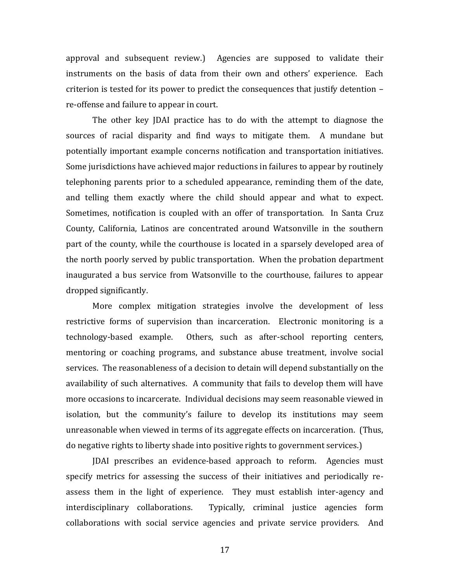approval and subsequent review.) Agencies are supposed to validate their instruments on the basis of data from their own and others' experience. Each criterion is tested for its power to predict the consequences that justify detention – re-offense and failure to appear in court.

The other key JDAI practice has to do with the attempt to diagnose the sources of racial disparity and find ways to mitigate them. A mundane but potentially important example concerns notification and transportation initiatives. Some jurisdictions have achieved major reductions in failures to appear by routinely telephoning parents prior to a scheduled appearance, reminding them of the date, and telling them exactly where the child should appear and what to expect. Sometimes, notification is coupled with an offer of transportation. In Santa Cruz County, California, Latinos are concentrated around Watsonville in the southern part of the county, while the courthouse is located in a sparsely developed area of the north poorly served by public transportation. When the probation department inaugurated a bus service from Watsonville to the courthouse, failures to appear dropped significantly.

More complex mitigation strategies involve the development of less restrictive forms of supervision than incarceration. Electronic monitoring is a technology-based example. Others, such as after-school reporting centers, mentoring or coaching programs, and substance abuse treatment, involve social services. The reasonableness of a decision to detain will depend substantially on the availability of such alternatives. A community that fails to develop them will have more occasions to incarcerate. Individual decisions may seem reasonable viewed in isolation, but the community's failure to develop its institutions may seem unreasonable when viewed in terms of its aggregate effects on incarceration. (Thus, do negative rights to liberty shade into positive rights to government services.)

JDAI prescribes an evidence-based approach to reform. Agencies must specify metrics for assessing the success of their initiatives and periodically reassess them in the light of experience. They must establish inter-agency and interdisciplinary collaborations. Typically, criminal justice agencies form collaborations with social service agencies and private service providers. And

17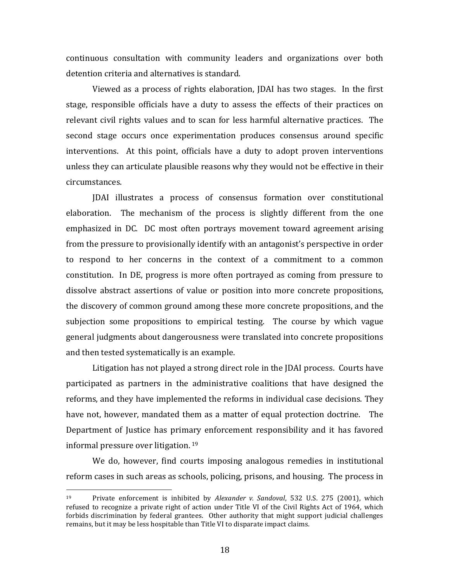continuous consultation with community leaders and organizations over both detention criteria and alternatives is standard.

Viewed as a process of rights elaboration, JDAI has two stages. In the first stage, responsible officials have a duty to assess the effects of their practices on relevant civil rights values and to scan for less harmful alternative practices. The second stage occurs once experimentation produces consensus around specific interventions. At this point, officials have a duty to adopt proven interventions unless they can articulate plausible reasons why they would not be effective in their circumstances.

JDAI illustrates a process of consensus formation over constitutional elaboration. The mechanism of the process is slightly different from the one emphasized in DC. DC most often portrays movement toward agreement arising from the pressure to provisionally identify with an antagonist's perspective in order to respond to her concerns in the context of a commitment to a common constitution. In DE, progress is more often portrayed as coming from pressure to dissolve abstract assertions of value or position into more concrete propositions, the discovery of common ground among these more concrete propositions, and the subjection some propositions to empirical testing. The course by which vague general judgments about dangerousness were translated into concrete propositions and then tested systematically is an example.

Litigation has not played a strong direct role in the JDAI process. Courts have participated as partners in the administrative coalitions that have designed the reforms, and they have implemented the reforms in individual case decisions. They have not, however, mandated them as a matter of equal protection doctrine. The Department of Justice has primary enforcement responsibility and it has favored informal pressure over litigation. <sup>19</sup>

We do, however, find courts imposing analogous remedies in institutional reform cases in such areas as schools, policing, prisons, and housing. The process in

<sup>19</sup> Private enforcement is inhibited by *Alexander v. Sandoval*, 532 U.S. 275 (2001), which refused to recognize a private right of action under Title VI of the Civil Rights Act of 1964, which forbids discrimination by federal grantees. Other authority that might support judicial challenges remains, but it may be less hospitable than Title VI to disparate impact claims.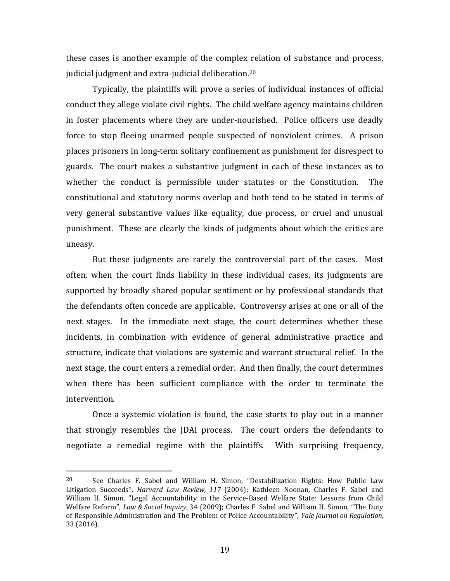these cases is another example of the complex relation of substance and process, judicial judgment and extra-judicial deliberation.<sup>20</sup>

Typically, the plaintiffs will prove a series of individual instances of official conduct they allege violate civil rights. The child welfare agency maintains children in foster placements where they are under-nourished. Police officers use deadly force to stop fleeing unarmed people suspected of nonviolent crimes. A prison places prisoners in long-term solitary confinement as punishment for disrespect to guards. The court makes a substantive judgment in each of these instances as to whether the conduct is permissible under statutes or the Constitution. The constitutional and statutory norms overlap and both tend to be stated in terms of very general substantive values like equality, due process, or cruel and unusual punishment. These are clearly the kinds of judgments about which the critics are uneasy.

But these judgments are rarely the controversial part of the cases. Most often, when the court finds liability in these individual cases, its judgments are supported by broadly shared popular sentiment or by professional standards that the defendants often concede are applicable. Controversy arises at one or all of the next stages. In the immediate next stage, the court determines whether these incidents, in combination with evidence of general administrative practice and structure, indicate that violations are systemic and warrant structural relief. In the next stage, the court enters a remedial order. And then finally, the court determines when there has been sufficient compliance with the order to terminate the intervention.

Once a systemic violation is found, the case starts to play out in a manner that strongly resembles the JDAI process. The court orders the defendants to negotiate a remedial regime with the plaintiffs. With surprising frequency,

<sup>20</sup> See Charles F. Sabel and William H. Simon, "Destabilization Rights: How Public Law Litigation Succeeds", *Harvard Law Review, 117* (2004); Kathleen Noonan, Charles F. Sabel and William H. Simon, "Legal Accountability in the Service-Based Welfare State: Lessons from Child Welfare Reform", *Law & Social Inquiry,* 34 (2009); Charles F. Sabel and William H. Simon, "The Duty of Responsible Administration and The Problem of Police Accountability", *Yale Journal on Regulation,* 33 (2016).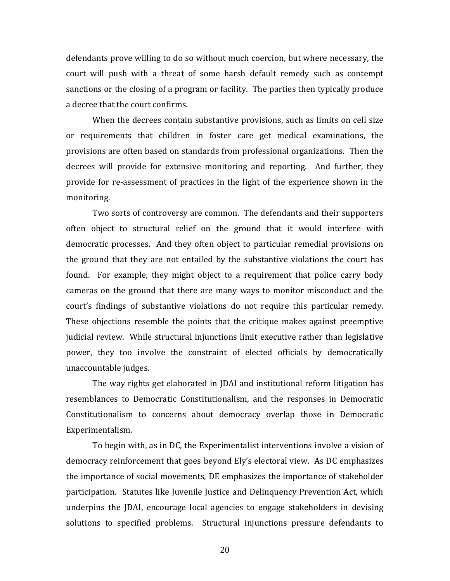defendants prove willing to do so without much coercion, but where necessary, the court will push with a threat of some harsh default remedy such as contempt sanctions or the closing of a program or facility. The parties then typically produce a decree that the court confirms.

When the decrees contain substantive provisions, such as limits on cell size or requirements that children in foster care get medical examinations, the provisions are often based on standards from professional organizations. Then the decrees will provide for extensive monitoring and reporting. And further, they provide for re-assessment of practices in the light of the experience shown in the monitoring.

Two sorts of controversy are common. The defendants and their supporters often object to structural relief on the ground that it would interfere with democratic processes. And they often object to particular remedial provisions on the ground that they are not entailed by the substantive violations the court has found. For example, they might object to a requirement that police carry body cameras on the ground that there are many ways to monitor misconduct and the court's findings of substantive violations do not require this particular remedy. These objections resemble the points that the critique makes against preemptive judicial review. While structural injunctions limit executive rather than legislative power, they too involve the constraint of elected officials by democratically unaccountable judges.

The way rights get elaborated in JDAI and institutional reform litigation has resemblances to Democratic Constitutionalism, and the responses in Democratic Constitutionalism to concerns about democracy overlap those in Democratic Experimentalism.

To begin with, as in DC, the Experimentalist interventions involve a vision of democracy reinforcement that goes beyond Ely's electoral view. As DC emphasizes the importance of social movements, DE emphasizes the importance of stakeholder participation. Statutes like Juvenile Justice and Delinquency Prevention Act, which underpins the JDAI, encourage local agencies to engage stakeholders in devising solutions to specified problems. Structural injunctions pressure defendants to

20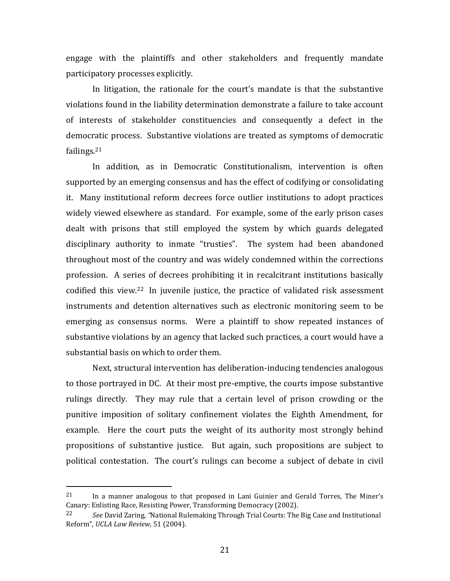engage with the plaintiffs and other stakeholders and frequently mandate participatory processes explicitly.

In litigation, the rationale for the court's mandate is that the substantive violations found in the liability determination demonstrate a failure to take account of interests of stakeholder constituencies and consequently a defect in the democratic process. Substantive violations are treated as symptoms of democratic failings.<sup>21</sup>

In addition, as in Democratic Constitutionalism, intervention is often supported by an emerging consensus and has the effect of codifying or consolidating it. Many institutional reform decrees force outlier institutions to adopt practices widely viewed elsewhere as standard. For example, some of the early prison cases dealt with prisons that still employed the system by which guards delegated disciplinary authority to inmate "trusties". The system had been abandoned throughout most of the country and was widely condemned within the corrections profession. A series of decrees prohibiting it in recalcitrant institutions basically codified this view.22 In juvenile justice, the practice of validated risk assessment instruments and detention alternatives such as electronic monitoring seem to be emerging as consensus norms. Were a plaintiff to show repeated instances of substantive violations by an agency that lacked such practices, a court would have a substantial basis on which to order them.

Next, structural intervention has deliberation-inducing tendencies analogous to those portrayed in DC. At their most pre-emptive, the courts impose substantive rulings directly. They may rule that a certain level of prison crowding or the punitive imposition of solitary confinement violates the Eighth Amendment, for example. Here the court puts the weight of its authority most strongly behind propositions of substantive justice. But again, such propositions are subject to political contestation. The court's rulings can become a subject of debate in civil

 $21$  In a manner analogous to that proposed in Lani Guinier and Gerald Torres, The Miner's Canary: Enlisting Race, Resisting Power, Transforming Democracy (2002).

<sup>22</sup> *See* David Zaring*, "*National Rulemaking Through Trial Courts: The Big Case and Institutional Reform"*, UCLA Law Review,* 51 (2004).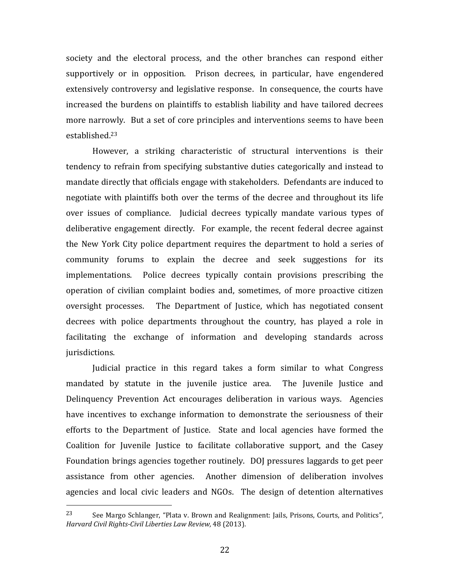society and the electoral process, and the other branches can respond either supportively or in opposition. Prison decrees, in particular, have engendered extensively controversy and legislative response. In consequence, the courts have increased the burdens on plaintiffs to establish liability and have tailored decrees more narrowly. But a set of core principles and interventions seems to have been established.<sup>23</sup>

However, a striking characteristic of structural interventions is their tendency to refrain from specifying substantive duties categorically and instead to mandate directly that officials engage with stakeholders. Defendants are induced to negotiate with plaintiffs both over the terms of the decree and throughout its life over issues of compliance. Judicial decrees typically mandate various types of deliberative engagement directly. For example, the recent federal decree against the New York City police department requires the department to hold a series of community forums to explain the decree and seek suggestions for its implementations. Police decrees typically contain provisions prescribing the operation of civilian complaint bodies and, sometimes, of more proactive citizen oversight processes. The Department of Justice, which has negotiated consent decrees with police departments throughout the country, has played a role in facilitating the exchange of information and developing standards across jurisdictions.

Judicial practice in this regard takes a form similar to what Congress mandated by statute in the juvenile justice area. The Juvenile Justice and Delinquency Prevention Act encourages deliberation in various ways. Agencies have incentives to exchange information to demonstrate the seriousness of their efforts to the Department of Justice. State and local agencies have formed the Coalition for Juvenile Justice to facilitate collaborative support, and the Casey Foundation brings agencies together routinely. DOJ pressures laggards to get peer assistance from other agencies. Another dimension of deliberation involves agencies and local civic leaders and NGOs. The design of detention alternatives

<sup>23</sup> See Margo Schlanger, "Plata v. Brown and Realignment: Jails, Prisons, Courts, and Politics"*, Harvard Civil Rights-Civil Liberties Law Review,* 48 (2013).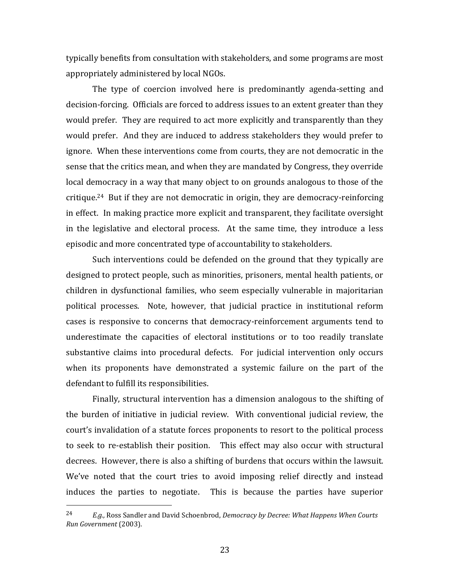typically benefits from consultation with stakeholders, and some programs are most appropriately administered by local NGOs.

The type of coercion involved here is predominantly agenda-setting and decision-forcing. Officials are forced to address issues to an extent greater than they would prefer. They are required to act more explicitly and transparently than they would prefer. And they are induced to address stakeholders they would prefer to ignore. When these interventions come from courts, they are not democratic in the sense that the critics mean, and when they are mandated by Congress, they override local democracy in a way that many object to on grounds analogous to those of the critique.24 But if they are not democratic in origin, they are democracy-reinforcing in effect. In making practice more explicit and transparent, they facilitate oversight in the legislative and electoral process. At the same time, they introduce a less episodic and more concentrated type of accountability to stakeholders.

Such interventions could be defended on the ground that they typically are designed to protect people, such as minorities, prisoners, mental health patients, or children in dysfunctional families, who seem especially vulnerable in majoritarian political processes. Note, however, that judicial practice in institutional reform cases is responsive to concerns that democracy-reinforcement arguments tend to underestimate the capacities of electoral institutions or to too readily translate substantive claims into procedural defects. For judicial intervention only occurs when its proponents have demonstrated a systemic failure on the part of the defendant to fulfill its responsibilities.

Finally, structural intervention has a dimension analogous to the shifting of the burden of initiative in judicial review. With conventional judicial review, the court's invalidation of a statute forces proponents to resort to the political process to seek to re-establish their position. This effect may also occur with structural decrees. However, there is also a shifting of burdens that occurs within the lawsuit. We've noted that the court tries to avoid imposing relief directly and instead induces the parties to negotiate. This is because the parties have superior

<sup>24</sup> *E.g.,* Ross Sandler and David Schoenbrod, *Democracy by Decree: What Happens When Courts Run Government* (2003).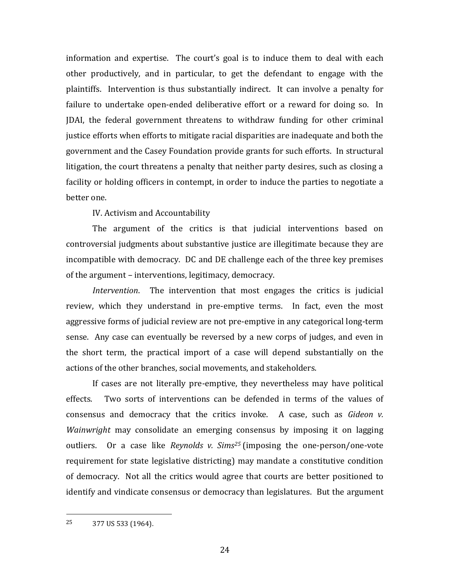information and expertise. The court's goal is to induce them to deal with each other productively, and in particular, to get the defendant to engage with the plaintiffs. Intervention is thus substantially indirect. It can involve a penalty for failure to undertake open-ended deliberative effort or a reward for doing so. In JDAI, the federal government threatens to withdraw funding for other criminal justice efforts when efforts to mitigate racial disparities are inadequate and both the government and the Casey Foundation provide grants for such efforts. In structural litigation, the court threatens a penalty that neither party desires, such as closing a facility or holding officers in contempt, in order to induce the parties to negotiate a better one.

## IV. Activism and Accountability

The argument of the critics is that judicial interventions based on controversial judgments about substantive justice are illegitimate because they are incompatible with democracy. DC and DE challenge each of the three key premises of the argument – interventions, legitimacy, democracy.

*Intervention*. The intervention that most engages the critics is judicial review, which they understand in pre-emptive terms. In fact, even the most aggressive forms of judicial review are not pre-emptive in any categorical long-term sense. Any case can eventually be reversed by a new corps of judges, and even in the short term, the practical import of a case will depend substantially on the actions of the other branches, social movements, and stakeholders.

If cases are not literally pre-emptive, they nevertheless may have political effects. Two sorts of interventions can be defended in terms of the values of consensus and democracy that the critics invoke. A case, such as *Gideon v. Wainwright* may consolidate an emerging consensus by imposing it on lagging outliers. Or a case like *Reynolds v. Sims<sup>25</sup>* (imposing the one-person/one-vote requirement for state legislative districting) may mandate a constitutive condition of democracy. Not all the critics would agree that courts are better positioned to identify and vindicate consensus or democracy than legislatures. But the argument

l

<sup>25</sup> 377 US 533 (1964).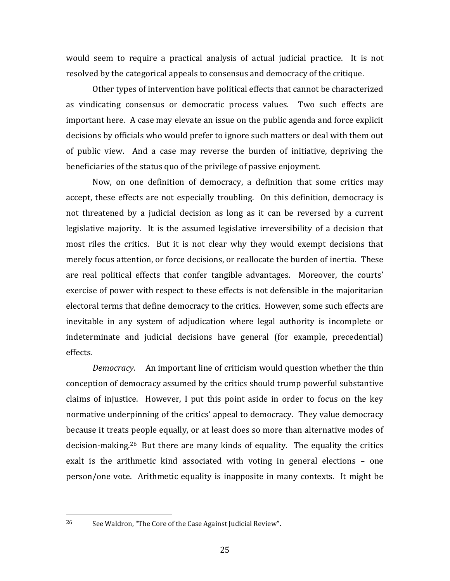would seem to require a practical analysis of actual judicial practice. It is not resolved by the categorical appeals to consensus and democracy of the critique.

Other types of intervention have political effects that cannot be characterized as vindicating consensus or democratic process values. Two such effects are important here. A case may elevate an issue on the public agenda and force explicit decisions by officials who would prefer to ignore such matters or deal with them out of public view. And a case may reverse the burden of initiative, depriving the beneficiaries of the status quo of the privilege of passive enjoyment.

Now, on one definition of democracy, a definition that some critics may accept, these effects are not especially troubling. On this definition, democracy is not threatened by a judicial decision as long as it can be reversed by a current legislative majority. It is the assumed legislative irreversibility of a decision that most riles the critics. But it is not clear why they would exempt decisions that merely focus attention, or force decisions, or reallocate the burden of inertia. These are real political effects that confer tangible advantages. Moreover, the courts' exercise of power with respect to these effects is not defensible in the majoritarian electoral terms that define democracy to the critics. However, some such effects are inevitable in any system of adjudication where legal authority is incomplete or indeterminate and judicial decisions have general (for example, precedential) effects.

*Democracy.* An important line of criticism would question whether the thin conception of democracy assumed by the critics should trump powerful substantive claims of injustice. However, I put this point aside in order to focus on the key normative underpinning of the critics' appeal to democracy. They value democracy because it treats people equally, or at least does so more than alternative modes of decision-making.26 But there are many kinds of equality. The equality the critics exalt is the arithmetic kind associated with voting in general elections – one person/one vote. Arithmetic equality is inapposite in many contexts. It might be

l

<sup>26</sup> See Waldron, "The Core of the Case Against Judicial Review".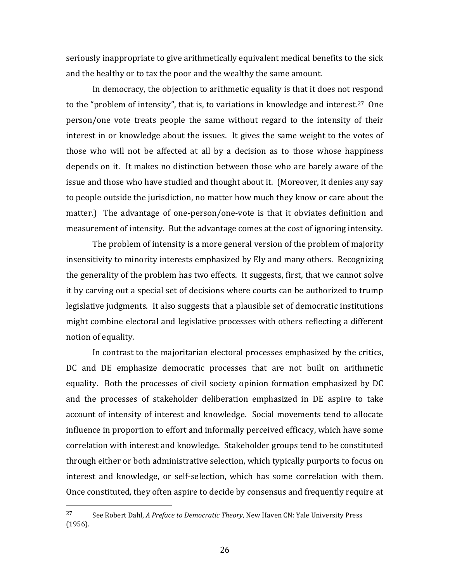seriously inappropriate to give arithmetically equivalent medical benefits to the sick and the healthy or to tax the poor and the wealthy the same amount.

In democracy, the objection to arithmetic equality is that it does not respond to the "problem of intensity", that is, to variations in knowledge and interest.<sup>27</sup> One person/one vote treats people the same without regard to the intensity of their interest in or knowledge about the issues. It gives the same weight to the votes of those who will not be affected at all by a decision as to those whose happiness depends on it. It makes no distinction between those who are barely aware of the issue and those who have studied and thought about it. (Moreover, it denies any say to people outside the jurisdiction, no matter how much they know or care about the matter.) The advantage of one-person/one-vote is that it obviates definition and measurement of intensity. But the advantage comes at the cost of ignoring intensity.

The problem of intensity is a more general version of the problem of majority insensitivity to minority interests emphasized by Ely and many others. Recognizing the generality of the problem has two effects. It suggests, first, that we cannot solve it by carving out a special set of decisions where courts can be authorized to trump legislative judgments. It also suggests that a plausible set of democratic institutions might combine electoral and legislative processes with others reflecting a different notion of equality.

In contrast to the majoritarian electoral processes emphasized by the critics, DC and DE emphasize democratic processes that are not built on arithmetic equality. Both the processes of civil society opinion formation emphasized by DC and the processes of stakeholder deliberation emphasized in DE aspire to take account of intensity of interest and knowledge. Social movements tend to allocate influence in proportion to effort and informally perceived efficacy, which have some correlation with interest and knowledge. Stakeholder groups tend to be constituted through either or both administrative selection, which typically purports to focus on interest and knowledge, or self-selection, which has some correlation with them. Once constituted, they often aspire to decide by consensus and frequently require at

<sup>27</sup> See Robert Dahl, *A Preface to Democratic Theory*, New Haven CN: Yale University Press (1956).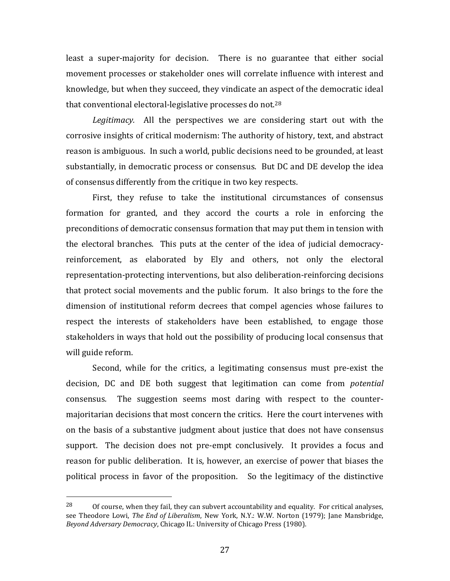least a super-majority for decision. There is no guarantee that either social movement processes or stakeholder ones will correlate influence with interest and knowledge, but when they succeed, they vindicate an aspect of the democratic ideal that conventional electoral-legislative processes do not.<sup>28</sup>

*Legitimacy.* All the perspectives we are considering start out with the corrosive insights of critical modernism: The authority of history, text, and abstract reason is ambiguous. In such a world, public decisions need to be grounded, at least substantially, in democratic process or consensus. But DC and DE develop the idea of consensus differently from the critique in two key respects.

First, they refuse to take the institutional circumstances of consensus formation for granted, and they accord the courts a role in enforcing the preconditions of democratic consensus formation that may put them in tension with the electoral branches. This puts at the center of the idea of judicial democracyreinforcement, as elaborated by Ely and others, not only the electoral representation-protecting interventions, but also deliberation-reinforcing decisions that protect social movements and the public forum. It also brings to the fore the dimension of institutional reform decrees that compel agencies whose failures to respect the interests of stakeholders have been established, to engage those stakeholders in ways that hold out the possibility of producing local consensus that will guide reform.

Second, while for the critics, a legitimating consensus must pre-exist the decision, DC and DE both suggest that legitimation can come from *potential*  consensus. The suggestion seems most daring with respect to the countermajoritarian decisions that most concern the critics. Here the court intervenes with on the basis of a substantive judgment about justice that does not have consensus support. The decision does not pre-empt conclusively. It provides a focus and reason for public deliberation. It is, however, an exercise of power that biases the political process in favor of the proposition. So the legitimacy of the distinctive

 $28$  Of course, when they fail, they can subvert accountability and equality. For critical analyses, see Theodore Lowi, *The End of Liberalism*, New York, N.Y.: W.W. Norton (1979); Jane Mansbridge, *Beyond Adversary Democracy*, Chicago IL: University of Chicago Press (1980).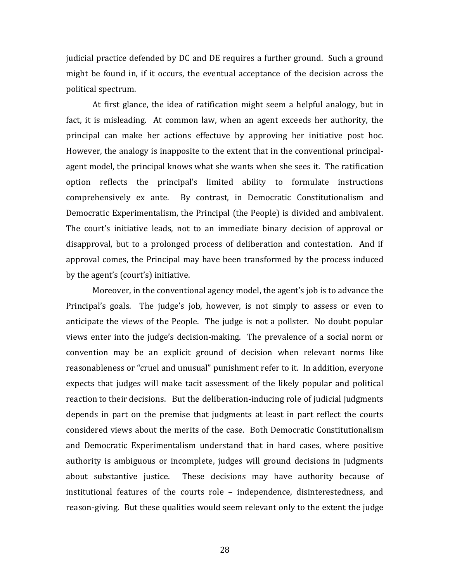judicial practice defended by DC and DE requires a further ground. Such a ground might be found in, if it occurs, the eventual acceptance of the decision across the political spectrum.

At first glance, the idea of ratification might seem a helpful analogy, but in fact, it is misleading. At common law, when an agent exceeds her authority, the principal can make her actions effectuve by approving her initiative post hoc. However, the analogy is inapposite to the extent that in the conventional principalagent model, the principal knows what she wants when she sees it. The ratification option reflects the principal's limited ability to formulate instructions comprehensively ex ante. By contrast, in Democratic Constitutionalism and Democratic Experimentalism, the Principal (the People) is divided and ambivalent. The court's initiative leads, not to an immediate binary decision of approval or disapproval, but to a prolonged process of deliberation and contestation. And if approval comes, the Principal may have been transformed by the process induced by the agent's (court's) initiative.

Moreover, in the conventional agency model, the agent's job is to advance the Principal's goals. The judge's job, however, is not simply to assess or even to anticipate the views of the People. The judge is not a pollster. No doubt popular views enter into the judge's decision-making. The prevalence of a social norm or convention may be an explicit ground of decision when relevant norms like reasonableness or "cruel and unusual" punishment refer to it. In addition, everyone expects that judges will make tacit assessment of the likely popular and political reaction to their decisions. But the deliberation-inducing role of judicial judgments depends in part on the premise that judgments at least in part reflect the courts considered views about the merits of the case. Both Democratic Constitutionalism and Democratic Experimentalism understand that in hard cases, where positive authority is ambiguous or incomplete, judges will ground decisions in judgments about substantive justice. These decisions may have authority because of institutional features of the courts role – independence, disinterestedness, and reason-giving. But these qualities would seem relevant only to the extent the judge